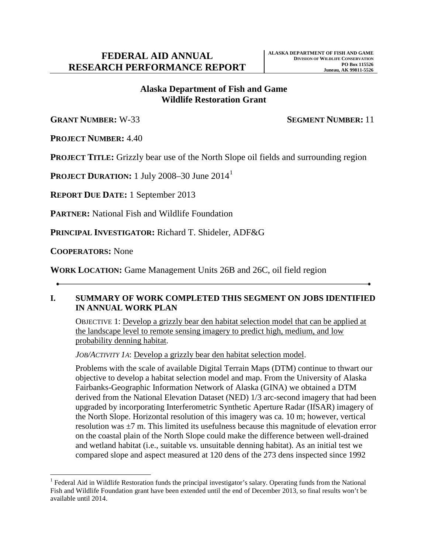# **Wildlife Restoration Grant Alaska Department of Fish and Game**

**GRANT NUMBER:** W-33 **SEGMENT NUMBER:** 11

**PROJECT NUMBER:** 4.40

**PROJECT TITLE:** Grizzly bear use of the North Slope oil fields and surrounding region

**PROJECT DURATION:** [1](#page-0-0) July 2008–30 June 2014<sup>1</sup>

**REPORT DUE DATE:** 1 September 2013

**PARTNER:** National Fish and Wildlife Foundation

**PRINCIPAL INVESTIGATOR:** Richard T. Shideler, ADF&G

**COOPERATORS:** None

**WORK LOCATION:** Game Management Units 26B and 26C, oil field region

### **IN ANNUAL WORK PLAN I. SUMMARY OF WORK COMPLETED THIS SEGMENT ON JOBS IDENTIFIED**

 OBJECTIVE 1: Develop a grizzly bear den habitat selection model that can be applied at the landscape level to remote sensing imagery to predict high, medium, and low probability denning habitat.

*JOB/ACTIVITY 1A*: Develop a grizzly bear den habitat selection model.

 objective to develop a habitat selection model and map. From the University of Alaska Fairbanks-Geographic Information Network of Alaska (GINA) we obtained a DTM the North Slope. Horizontal resolution of this imagery was ca. 10 m; however, vertical resolution was ±7 m. This limited its usefulness because this magnitude of elevation error Problems with the scale of available Digital Terrain Maps (DTM) continue to thwart our derived from the National Elevation Dataset (NED) 1/3 arc-second imagery that had been upgraded by incorporating Interferometric Synthetic Aperture Radar (IfSAR) imagery of on the coastal plain of the North Slope could make the difference between well-drained and wetland habitat (i.e., suitable vs. unsuitable denning habitat). As an initial test we compared slope and aspect measured at 120 dens of the 273 dens inspected since 1992

<span id="page-0-0"></span><sup>&</sup>lt;u>.</u>  $1$  Federal Aid in Wildlife Restoration funds the principal investigator's salary. Operating funds from the National Fish and Wildlife Foundation grant have been extended until the end of December 2013, so final results won't be available until 2014.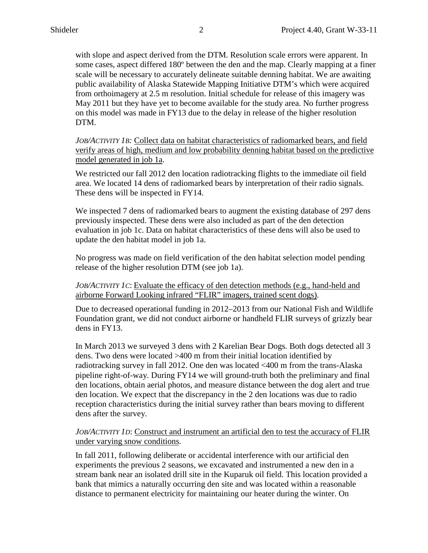public availability of Alaska Statewide Mapping Initiative DTM's which were acquired from orthoimagery at 2.5 m resolution. Initial schedule for release of this imagery was May 2011 but they have yet to become available for the study area. No further progress with slope and aspect derived from the DTM. Resolution scale errors were apparent. In some cases, aspect differed 180º between the den and the map. Clearly mapping at a finer scale will be necessary to accurately delineate suitable denning habitat. We are awaiting on this model was made in FY13 due to the delay in release of the higher resolution DTM.

*JOB/ACTIVITY 1B:* Collect data on habitat characteristics of radiomarked bears, and field verify areas of high, medium and low probability denning habitat based on the predictive model generated in job 1a.

We restricted our fall 2012 den location radiotracking flights to the immediate oil field area. We located 14 dens of radiomarked bears by interpretation of their radio signals. These dens will be inspected in FY14.

 We inspected 7 dens of radiomarked bears to augment the existing database of 297 dens previously inspected. These dens were also included as part of the den detection evaluation in job 1c. Data on habitat characteristics of these dens will also be used to update the den habitat model in job 1a.

 release of the higher resolution DTM (see job 1a). No progress was made on field verification of the den habitat selection model pending

airborne Forward Looking infrared "FLIR" imagers, trained scent dogs). *JOB/ACTIVITY 1C*: Evaluate the efficacy of den detection methods (e.g., hand-held and

airborne Forward Looking infrared "FLIR" imagers, trained scent dogs).<br>Due to decreased operational funding in 2012–2013 from our National Fish and Wildlife dens in FY13. Foundation grant, we did not conduct airborne or handheld FLIR surveys of grizzly bear

 In March 2013 we surveyed 3 dens with 2 Karelian Bear Dogs. Both dogs detected all 3 dens. Two dens were located >400 m from their initial location identified by radiotracking survey in fall 2012. One den was located <400 m from the trans-Alaska pipeline right-of-way. During FY14 we will ground-truth both the preliminary and final den locations, obtain aerial photos, and measure distance between the dog alert and true den location. We expect that the discrepancy in the 2 den locations was due to radio reception characteristics during the initial survey rather than bears moving to different dens after the survey.

#### *JOB/ACTIVITY 1D*: Construct and instrument an artificial den to test the accuracy of FLIR under varying snow conditions.

 experiments the previous 2 seasons, we excavated and instrumented a new den in a In fall 2011, following deliberate or accidental interference with our artificial den stream bank near an isolated drill site in the Kuparuk oil field. This location provided a bank that mimics a naturally occurring den site and was located within a reasonable distance to permanent electricity for maintaining our heater during the winter. On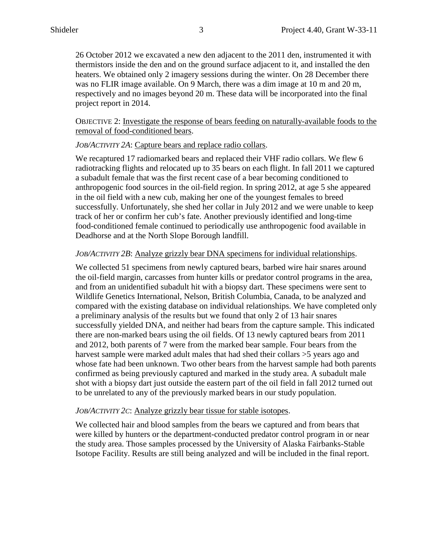was no FLIR image available. On 9 March, there was a dim image at 10 m and 20 m, respectively and no images beyond 20 m. These data will be incorporated into the final 26 October 2012 we excavated a new den adjacent to the 2011 den, instrumented it with thermistors inside the den and on the ground surface adjacent to it, and installed the den heaters. We obtained only 2 imagery sessions during the winter. On 28 December there project report in 2014.

 OBJECTIVE 2: Investigate the response of bears feeding on naturally-available foods to the removal of food-conditioned bears .

### *JOB/ACTIVITY 2A*: Capture bears and replace radio collars.

 in the oil field with a new cub, making her one of the youngest females to breed Deadhorse and at the North Slope Borough landfill. We recaptured 17 radiomarked bears and replaced their VHF radio collars. We flew 6 radiotracking flights and relocated up to 35 bears on each flight. In fall 2011 we captured a subadult female that was the first recent case of a bear becoming conditioned to anthropogenic food sources in the oil-field region. In spring 2012, at age 5 she appeared successfully. Unfortunately, she shed her collar in July 2012 and we were unable to keep track of her or confirm her cub's fate. Another previously identified and long-time food-conditioned female continued to periodically use anthropogenic food available in

### *JOB/ACTIVITY 2B*: Analyze grizzly bear DNA specimens for individual relationships.

 there are non-marked bears using the oil fields. Of 13 newly captured bears from 2011 and 2012, both parents of 7 were from the marked bear sample. Four bears from the We collected 51 specimens from newly captured bears, barbed wire hair snares around the oil-field margin, carcasses from hunter kills or predator control programs in the area, and from an unidentified subadult hit with a biopsy dart. These specimens were sent to Wildlife Genetics International, Nelson, British Columbia, Canada, to be analyzed and compared with the existing database on individual relationships. We have completed only a preliminary analysis of the results but we found that only 2 of 13 hair snares successfully yielded DNA, and neither had bears from the capture sample. This indicated harvest sample were marked adult males that had shed their collars  $>5$  years ago and whose fate had been unknown. Two other bears from the harvest sample had both parents confirmed as being previously captured and marked in the study area. A subadult male shot with a biopsy dart just outside the eastern part of the oil field in fall 2012 turned out to be unrelated to any of the previously marked bears in our study population.

### *JOB/ACTIVITY 2C*: Analyze grizzly bear tissue for stable isotopes.

 were killed by hunters or the department-conducted predator control program in or near the study area. Those samples processed by the University of Alaska Fairbanks-Stable We collected hair and blood samples from the bears we captured and from bears that Isotope Facility. Results are still being analyzed and will be included in the final report.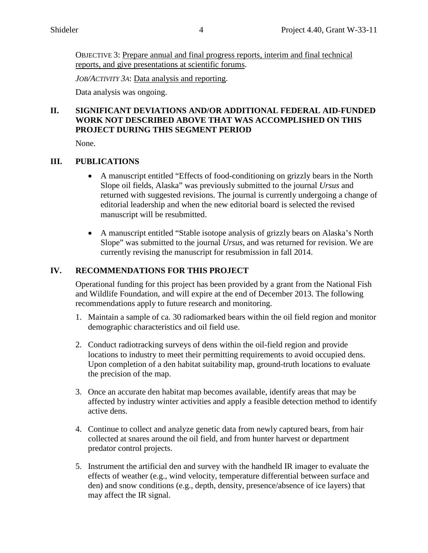OBJECTIVE 3: Prepare annual and final progress reports, interim and final technical reports, and give presentations at scientific forums.

*JOB/ACTIVITY 3A*: Data analysis and reporting.

Data analysis was ongoing.

## **PROJECT DURING THIS SEGMENT PERIOD II. SIGNIFICANT DEVIATIONS AND/OR ADDITIONAL FEDERAL AID-FUNDED WORK NOT DESCRIBED ABOVE THAT WAS ACCOMPLISHED ON THIS**

None.

## **III. PUBLICATIONS**

- Slope oil fields, Alaska" was previously submitted to the journal *Ursus* and returned with suggested revisions. The journal is currently undergoing a change of • A manuscript entitled "Effects of food-conditioning on grizzly bears in the North editorial leadership and when the new editorial board is selected the revised manuscript will be resubmitted.
- Slope" was submitted to the journal *Ursus,* and was returned for revision. We are • A manuscript entitled "Stable isotope analysis of grizzly bears on Alaska's North currently revising the manuscript for resubmission in fall 2014.

## **IV. RECOMMENDATIONS FOR THIS PROJECT**

Operational funding for this project has been provided by a grant from the National Fish and Wildlife Foundation, and will expire at the end of December 2013. The following recommendations apply to future research and monitoring.

- demographic characteristics and oil field use. 1. Maintain a sample of ca. 30 radiomarked bears within the oil field region and monitor
- 2. Conduct radiotracking surveys of dens within the oil-field region and provide locations to industry to meet their permitting requirements to avoid occupied dens. Upon completion of a den habitat suitability map, ground-truth locations to evaluate the precision of the map.
- 3. Once an accurate den habitat map becomes available, identify areas that may be affected by industry winter activities and apply a feasible detection method to identify active dens.
- 4. Continue to collect and analyze genetic data from newly captured bears, from hair collected at snares around the oil field, and from hunter harvest or department predator control projects.
- 5. Instrument the artificial den and survey with the handheld IR imager to evaluate the may affect the IR signal. effects of weather (e.g., wind velocity, temperature differential between surface and den) and snow conditions (e.g., depth, density, presence/absence of ice layers) that